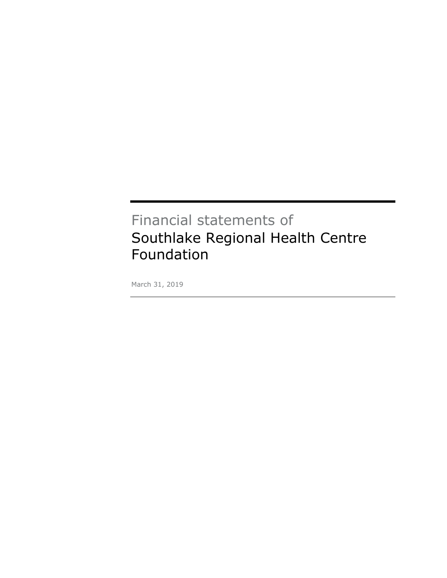# Financial statements of Southlake Regional Health Centre Foundation

March 31, 2019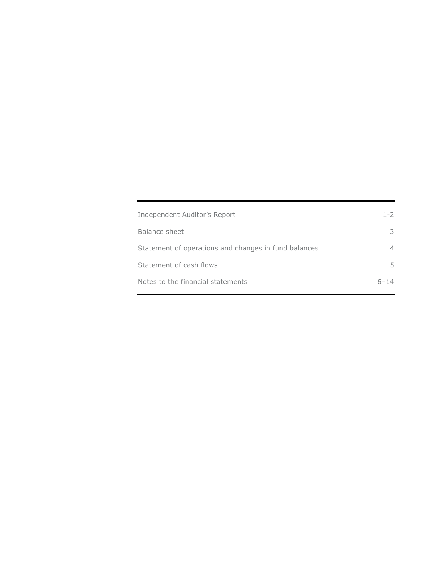| Independent Auditor's Report                         | $1 - 2$  |
|------------------------------------------------------|----------|
| Balance sheet                                        | 3        |
| Statement of operations and changes in fund balances | 4        |
| Statement of cash flows                              | 5        |
| Notes to the financial statements                    | $6 - 14$ |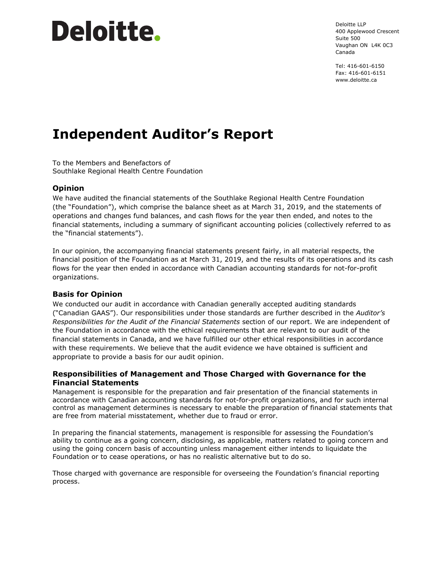# Deloitte.

Deloitte LLP 400 Applewood Crescent Suite 500 Vaughan ON L4K 0C3 Canada

Tel: 416-601-6150 Fax: 416-601-6151 www.deloitte.ca

# **Independent Auditor's Report**

To the Members and Benefactors of Southlake Regional Health Centre Foundation

# **Opinion**

We have audited the financial statements of the Southlake Regional Health Centre Foundation (the "Foundation"), which comprise the balance sheet as at March 31, 2019, and the statements of operations and changes fund balances, and cash flows for the year then ended, and notes to the financial statements, including a summary of significant accounting policies (collectively referred to as the "financial statements").

In our opinion, the accompanying financial statements present fairly, in all material respects, the financial position of the Foundation as at March 31, 2019, and the results of its operations and its cash flows for the year then ended in accordance with Canadian accounting standards for not-for-profit organizations.

# **Basis for Opinion**

We conducted our audit in accordance with Canadian generally accepted auditing standards ("Canadian GAAS"). Our responsibilities under those standards are further described in the *Auditor's Responsibilities for the Audit of the Financial Statements* section of our report. We are independent of the Foundation in accordance with the ethical requirements that are relevant to our audit of the financial statements in Canada, and we have fulfilled our other ethical responsibilities in accordance with these requirements. We believe that the audit evidence we have obtained is sufficient and appropriate to provide a basis for our audit opinion.

# **Responsibilities of Management and Those Charged with Governance for the Financial Statements**

Management is responsible for the preparation and fair presentation of the financial statements in accordance with Canadian accounting standards for not-for-profit organizations, and for such internal control as management determines is necessary to enable the preparation of financial statements that are free from material misstatement, whether due to fraud or error.

In preparing the financial statements, management is responsible for assessing the Foundation's ability to continue as a going concern, disclosing, as applicable, matters related to going concern and using the going concern basis of accounting unless management either intends to liquidate the Foundation or to cease operations, or has no realistic alternative but to do so.

Those charged with governance are responsible for overseeing the Foundation's financial reporting process.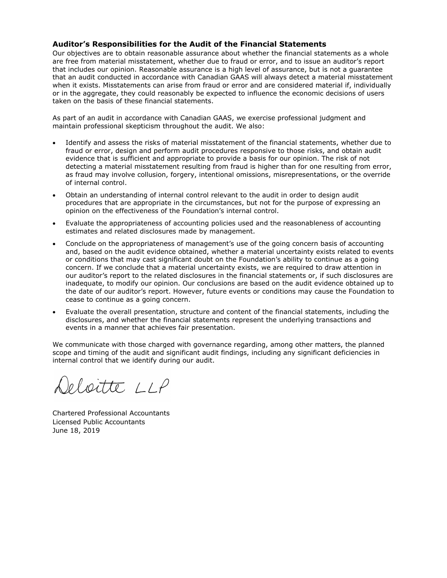# **Auditor's Responsibilities for the Audit of the Financial Statements**

Our objectives are to obtain reasonable assurance about whether the financial statements as a whole are free from material misstatement, whether due to fraud or error, and to issue an auditor's report that includes our opinion. Reasonable assurance is a high level of assurance, but is not a guarantee that an audit conducted in accordance with Canadian GAAS will always detect a material misstatement when it exists. Misstatements can arise from fraud or error and are considered material if, individually or in the aggregate, they could reasonably be expected to influence the economic decisions of users taken on the basis of these financial statements.

As part of an audit in accordance with Canadian GAAS, we exercise professional judgment and maintain professional skepticism throughout the audit. We also:

- Identify and assess the risks of material misstatement of the financial statements, whether due to fraud or error, design and perform audit procedures responsive to those risks, and obtain audit evidence that is sufficient and appropriate to provide a basis for our opinion. The risk of not detecting a material misstatement resulting from fraud is higher than for one resulting from error, as fraud may involve collusion, forgery, intentional omissions, misrepresentations, or the override of internal control.
- Obtain an understanding of internal control relevant to the audit in order to design audit procedures that are appropriate in the circumstances, but not for the purpose of expressing an opinion on the effectiveness of the Foundation's internal control.
- Evaluate the appropriateness of accounting policies used and the reasonableness of accounting estimates and related disclosures made by management.
- Conclude on the appropriateness of management's use of the going concern basis of accounting and, based on the audit evidence obtained, whether a material uncertainty exists related to events or conditions that may cast significant doubt on the Foundation's ability to continue as a going concern. If we conclude that a material uncertainty exists, we are required to draw attention in our auditor's report to the related disclosures in the financial statements or, if such disclosures are inadequate, to modify our opinion. Our conclusions are based on the audit evidence obtained up to the date of our auditor's report. However, future events or conditions may cause the Foundation to cease to continue as a going concern.
- Evaluate the overall presentation, structure and content of the financial statements, including the disclosures, and whether the financial statements represent the underlying transactions and events in a manner that achieves fair presentation.

We communicate with those charged with governance regarding, among other matters, the planned scope and timing of the audit and significant audit findings, including any significant deficiencies in internal control that we identify during our audit.

eloitte LLP

Chartered Professional Accountants Licensed Public Accountants June 18, 2019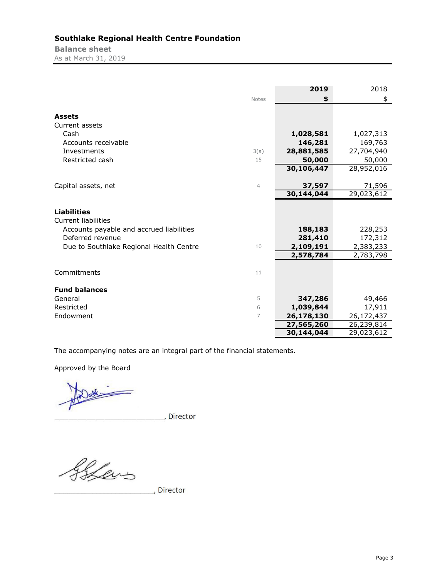# **Southlake Regional Health Centre Foundation**

**Balance sheet** As at March 31, 2019

|                                          |                | 2019       | 2018       |
|------------------------------------------|----------------|------------|------------|
|                                          | <b>Notes</b>   | \$         | \$         |
| <b>Assets</b>                            |                |            |            |
| Current assets                           |                |            |            |
| Cash                                     |                | 1,028,581  | 1,027,313  |
| Accounts receivable                      |                | 146,281    | 169,763    |
| Investments                              | 3(a)           | 28,881,585 | 27,704,940 |
| Restricted cash                          | 15             | 50,000     | 50,000     |
|                                          |                | 30,106,447 | 28,952,016 |
|                                          |                |            |            |
| Capital assets, net                      | $\overline{4}$ | 37,597     | 71,596     |
|                                          |                | 30,144,044 | 29,023,612 |
|                                          |                |            |            |
| <b>Liabilities</b>                       |                |            |            |
| <b>Current liabilities</b>               |                |            |            |
| Accounts payable and accrued liabilities |                | 188,183    | 228,253    |
| Deferred revenue                         |                | 281,410    | 172,312    |
| Due to Southlake Regional Health Centre  | 10             | 2,109,191  | 2,383,233  |
|                                          |                | 2,578,784  | 2,783,798  |
|                                          |                |            |            |
| Commitments                              | 11             |            |            |
|                                          |                |            |            |
| <b>Fund balances</b>                     |                |            |            |
| General                                  | 5              | 347,286    | 49,466     |
| Restricted                               | 6              | 1,039,844  | 17,911     |
| Endowment                                | 7              | 26,178,130 | 26,172,437 |
|                                          |                | 27,565,260 | 26,239,814 |
|                                          |                | 30,144,044 | 29,023,612 |

The accompanying notes are an integral part of the financial statements.

Approved by the Board

 $\frac{1}{2}$  or the second contract of  $\frac{1}{2}$ 

\_\_\_\_\_\_\_\_\_\_\_\_\_\_\_\_\_\_\_\_\_\_\_\_\_\_\_\_\_\_\_\_\_\_\_, Director

Islais

Director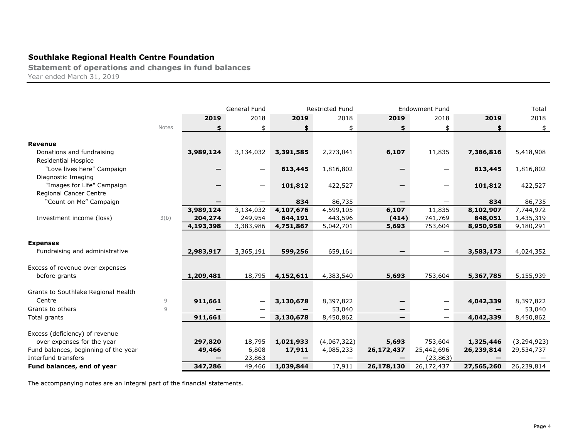# **Southlake Regional Health Centre Foundation**

**Statement of operations and changes in fund balances** Year ended March 31, 2019

|                                      |         |           | General Fund               |           | <b>Restricted Fund</b> |            | <b>Endowment Fund</b>  |            | Total         |
|--------------------------------------|---------|-----------|----------------------------|-----------|------------------------|------------|------------------------|------------|---------------|
|                                      |         | 2019      | 2018                       | 2019      | 2018                   | 2019       | 2018                   | 2019       | 2018          |
|                                      | Notes   | ቈ         | \$                         | \$        | \$                     | \$         | \$                     | \$         | \$            |
| <b>Revenue</b>                       |         |           |                            |           |                        |            |                        |            |               |
| Donations and fundraising            |         | 3,989,124 | 3,134,032                  | 3,391,585 | 2,273,041              | 6,107      | 11,835                 | 7,386,816  | 5,418,908     |
| Residential Hospice                  |         |           |                            |           |                        |            |                        |            |               |
| "Love lives here" Campaign           |         |           | —                          | 613,445   | 1,816,802              |            | $\qquad \qquad \qquad$ | 613,445    | 1,816,802     |
| Diagnostic Imaging                   |         |           |                            |           |                        |            |                        |            |               |
| "Images for Life" Campaign           |         |           | $\qquad \qquad \  \  \, -$ | 101,812   | 422,527                |            | —                      | 101,812    | 422,527       |
| Regional Cancer Centre               |         |           |                            |           |                        |            |                        |            |               |
| "Count on Me" Campaign               |         |           |                            | 834       | 86,735                 |            |                        | 834        | 86,735        |
|                                      |         | 3,989,124 | 3,134,032                  | 4,107,676 | 4,599,105              | 6,107      | 11,835                 | 8,102,907  | 7,744,972     |
| Investment income (loss)             | 3(b)    | 204,274   | 249,954                    | 644,191   | 443,596                | (414)      | 741,769                | 848,051    | 1,435,319     |
|                                      |         | 4,193,398 | 3,383,986                  | 4,751,867 | 5,042,701              | 5,693      | 753,604                | 8,950,958  | 9,180,291     |
|                                      |         |           |                            |           |                        |            |                        |            |               |
| <b>Expenses</b>                      |         |           |                            |           |                        |            |                        |            |               |
| Fundraising and administrative       |         | 2,983,917 | 3,365,191                  | 599,256   | 659,161                |            |                        | 3,583,173  | 4,024,352     |
|                                      |         |           |                            |           |                        |            |                        |            |               |
| Excess of revenue over expenses      |         |           |                            |           |                        |            |                        |            |               |
| before grants                        |         | 1,209,481 | 18,795                     | 4,152,611 | 4,383,540              | 5,693      | 753,604                | 5,367,785  | 5,155,939     |
| Grants to Southlake Regional Health  |         |           |                            |           |                        |            |                        |            |               |
| Centre                               | 9       | 911,661   | $\overline{\phantom{0}}$   | 3,130,678 | 8,397,822              |            | -                      | 4,042,339  | 8,397,822     |
| Grants to others                     | $\circ$ |           |                            |           | 53,040                 |            | $\hspace{0.05cm}$      |            | 53,040        |
| Total grants                         |         | 911,661   | $\qquad \qquad$            | 3,130,678 | 8,450,862              | —          | $\qquad \qquad -$      | 4,042,339  | 8,450,862     |
|                                      |         |           |                            |           |                        |            |                        |            |               |
| Excess (deficiency) of revenue       |         |           |                            |           |                        |            |                        |            |               |
| over expenses for the year           |         | 297,820   | 18,795                     | 1,021,933 | (4,067,322)            | 5,693      | 753,604                | 1,325,446  | (3, 294, 923) |
| Fund balances, beginning of the year |         | 49,466    | 6,808                      | 17,911    | 4,085,233              | 26,172,437 | 25,442,696             | 26,239,814 | 29,534,737    |
| Interfund transfers                  |         |           | 23,863                     |           |                        |            | (23, 863)              |            |               |
| Fund balances, end of year           |         | 347,286   | 49,466                     | 1,039,844 | 17,911                 | 26,178,130 | 26,172,437             | 27,565,260 | 26,239,814    |

The accompanying notes are an integral part of the financial statements.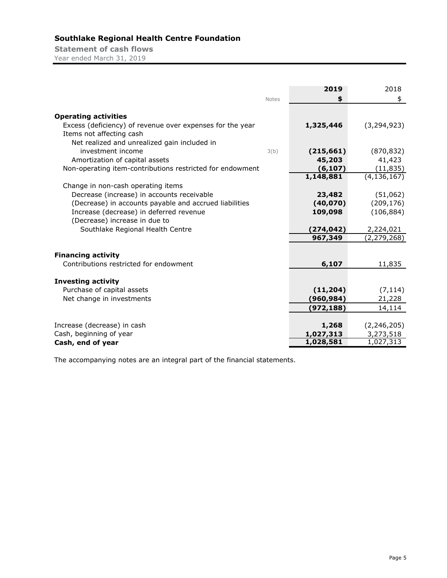# **Southlake Regional Health Centre Foundation**

**Statement of cash flows** Year ended March 31, 2019

|                                                           | <b>Notes</b> | 2019<br>\$             | 2018<br>\$         |
|-----------------------------------------------------------|--------------|------------------------|--------------------|
|                                                           |              |                        |                    |
| <b>Operating activities</b>                               |              |                        |                    |
| Excess (deficiency) of revenue over expenses for the year |              | 1,325,446              | (3, 294, 923)      |
| Items not affecting cash                                  |              |                        |                    |
| Net realized and unrealized gain included in              |              |                        |                    |
| investment income                                         | 3(b)         | (215, 661)             | (870, 832)         |
| Amortization of capital assets                            |              | 45,203                 | 41,423             |
| Non-operating item-contributions restricted for endowment |              | (6, 107)               | (11, 835)          |
|                                                           |              | 1,148,881              | (4, 136, 167)      |
| Change in non-cash operating items                        |              |                        |                    |
| Decrease (increase) in accounts receivable                |              | 23,482                 | (51,062)           |
| (Decrease) in accounts payable and accrued liabilities    |              | (40, 070)              | (209, 176)         |
| Increase (decrease) in deferred revenue                   |              | 109,098                | (106, 884)         |
| (Decrease) increase in due to                             |              |                        |                    |
| Southlake Regional Health Centre                          |              | (274, 042)             | 2,224,021          |
|                                                           |              | 967,349                | (2,279,268)        |
| <b>Financing activity</b>                                 |              |                        |                    |
| Contributions restricted for endowment                    |              | 6,107                  | 11,835             |
|                                                           |              |                        |                    |
| <b>Investing activity</b><br>Purchase of capital assets   |              |                        |                    |
| Net change in investments                                 |              | (11, 204)<br>(960,984) | (7, 114)<br>21,228 |
|                                                           |              |                        | 14,114             |
|                                                           |              | (972,188)              |                    |
| Increase (decrease) in cash                               |              | 1,268                  | (2, 246, 205)      |
| Cash, beginning of year                                   |              | 1,027,313              | 3,273,518          |
| Cash, end of year                                         |              | 1,028,581              | 1,027,313          |

The accompanying notes are an integral part of the financial statements.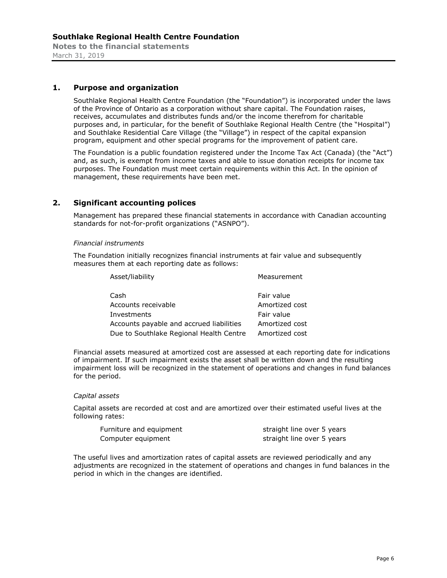# **1. Purpose and organization**

Southlake Regional Health Centre Foundation (the "Foundation") is incorporated under the laws of the Province of Ontario as a corporation without share capital. The Foundation raises, receives, accumulates and distributes funds and/or the income therefrom for charitable purposes and, in particular, for the benefit of Southlake Regional Health Centre (the "Hospital") and Southlake Residential Care Village (the "Village") in respect of the capital expansion program, equipment and other special programs for the improvement of patient care.

The Foundation is a public foundation registered under the Income Tax Act (Canada) (the "Act") and, as such, is exempt from income taxes and able to issue donation receipts for income tax purposes. The Foundation must meet certain requirements within this Act. In the opinion of management, these requirements have been met.

# **2. Significant accounting polices**

Management has prepared these financial statements in accordance with Canadian accounting standards for not-for-profit organizations ("ASNPO").

#### *Financial instruments*

The Foundation initially recognizes financial instruments at fair value and subsequently measures them at each reporting date as follows:

| Asset/liability                          | Measurement    |
|------------------------------------------|----------------|
| Cash                                     | Fair value     |
| Accounts receivable                      | Amortized cost |
| Investments                              | Fair value     |
| Accounts payable and accrued liabilities | Amortized cost |
| Due to Southlake Regional Health Centre  | Amortized cost |

Financial assets measured at amortized cost are assessed at each reporting date for indications of impairment. If such impairment exists the asset shall be written down and the resulting impairment loss will be recognized in the statement of operations and changes in fund balances for the period.

#### *Capital assets*

Capital assets are recorded at cost and are amortized over their estimated useful lives at the following rates:

| Furniture and equipment | straight line over 5 years |
|-------------------------|----------------------------|
| Computer equipment      | straight line over 5 years |

The useful lives and amortization rates of capital assets are reviewed periodically and any adjustments are recognized in the statement of operations and changes in fund balances in the period in which in the changes are identified.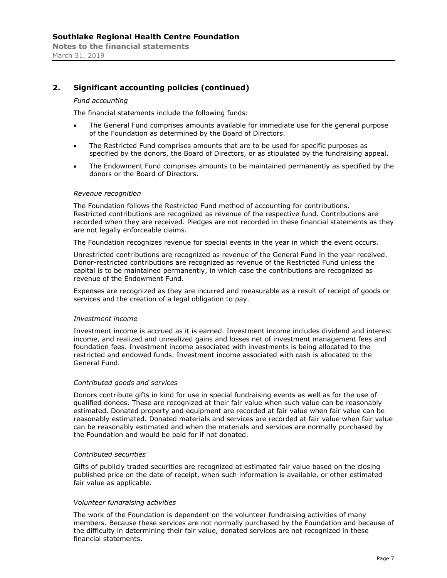# **2. Significant accounting policies (continued)**

#### *Fund accounting*

The financial statements include the following funds:

- The General Fund comprises amounts available for immediate use for the general purpose of the Foundation as determined by the Board of Directors.
- The Restricted Fund comprises amounts that are to be used for specific purposes as specified by the donors, the Board of Directors, or as stipulated by the fundraising appeal.
- The Endowment Fund comprises amounts to be maintained permanently as specified by the donors or the Board of Directors.

#### *Revenue recognition*

The Foundation follows the Restricted Fund method of accounting for contributions. Restricted contributions are recognized as revenue of the respective fund. Contributions are recorded when they are received. Pledges are not recorded in these financial statements as they are not legally enforceable claims.

The Foundation recognizes revenue for special events in the year in which the event occurs.

Unrestricted contributions are recognized as revenue of the General Fund in the year received. Donor-restricted contributions are recognized as revenue of the Restricted Fund unless the capital is to be maintained permanently, in which case the contributions are recognized as revenue of the Endowment Fund.

Expenses are recognized as they are incurred and measurable as a result of receipt of goods or services and the creation of a legal obligation to pay.

#### *Investment income*

Investment income is accrued as it is earned. Investment income includes dividend and interest income, and realized and unrealized gains and losses net of investment management fees and foundation fees. Investment income associated with investments is being allocated to the restricted and endowed funds. Investment income associated with cash is allocated to the General Fund.

#### *Contributed goods and services*

Donors contribute gifts in kind for use in special fundraising events as well as for the use of qualified donees. These are recognized at their fair value when such value can be reasonably estimated. Donated property and equipment are recorded at fair value when fair value can be reasonably estimated. Donated materials and services are recorded at fair value when fair value can be reasonably estimated and when the materials and services are normally purchased by the Foundation and would be paid for if not donated.

#### *Contributed securities*

Gifts of publicly traded securities are recognized at estimated fair value based on the closing published price on the date of receipt, when such information is available, or other estimated fair value as applicable.

#### *Volunteer fundraising activities*

The work of the Foundation is dependent on the volunteer fundraising activities of many members. Because these services are not normally purchased by the Foundation and because of the difficulty in determining their fair value, donated services are not recognized in these financial statements.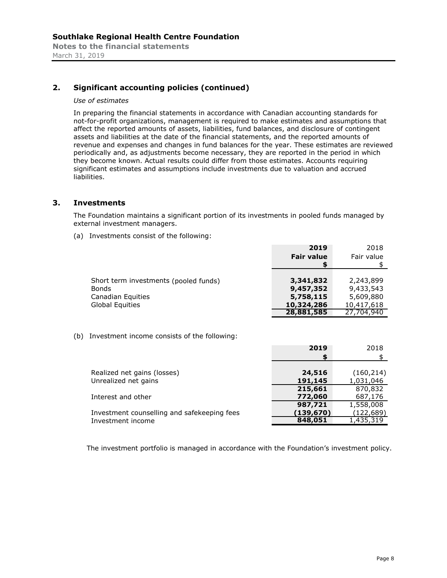# **2. Significant accounting policies (continued)**

#### *Use of estimates*

In preparing the financial statements in accordance with Canadian accounting standards for not-for-profit organizations, management is required to make estimates and assumptions that affect the reported amounts of assets, liabilities, fund balances, and disclosure of contingent assets and liabilities at the date of the financial statements, and the reported amounts of revenue and expenses and changes in fund balances for the year. These estimates are reviewed periodically and, as adjustments become necessary, they are reported in the period in which they become known. Actual results could differ from those estimates. Accounts requiring significant estimates and assumptions include investments due to valuation and accrued liabilities.

#### **3. Investments**

The Foundation maintains a significant portion of its investments in pooled funds managed by external investment managers.

(a) Investments consist of the following:

|                                                                                                      | <b>2019</b><br><b>Fair value</b>                                | 2018<br>Fair value                                              |
|------------------------------------------------------------------------------------------------------|-----------------------------------------------------------------|-----------------------------------------------------------------|
| Short term investments (pooled funds)<br><b>Bonds</b><br><b>Canadian Equities</b><br>Global Equities | 3,341,832<br>9,457,352<br>5,758,115<br>10,324,286<br>28,881,585 | 2,243,899<br>9,433,543<br>5,609,880<br>10,417,618<br>27,704,940 |

(b) Investment income consists of the following:

|                                                     | 2019              | 2010                    |
|-----------------------------------------------------|-------------------|-------------------------|
|                                                     | \$                |                         |
| Realized net gains (losses)<br>Unrealized net gains | 24,516<br>191,145 | (160, 214)<br>1,031,046 |
|                                                     | 215,661           | 870,832                 |
| Interest and other                                  | 772,060           | 687,176                 |
|                                                     | 987,721           | 1,558,008               |
| Investment counselling and safekeeping fees         | (139,670)         | (122,689)               |
| Investment income                                   | 848,051           | $1,435,3\overline{19}$  |

The investment portfolio is managed in accordance with the Foundation's investment policy.

**2019** 2018

**2019** 2018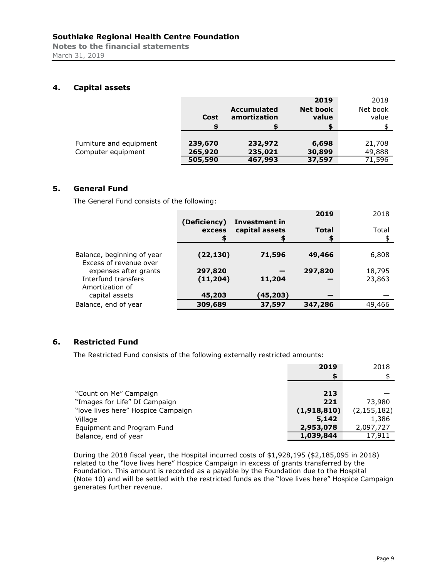**Notes to the financial statements**  March 31, 2019

# **4. Capital assets**

|                                               | Cost                          | <b>Accumulated</b><br>amortization | 2019<br><b>Net book</b><br>value<br>\$ | 2018<br>Net book<br>value  |
|-----------------------------------------------|-------------------------------|------------------------------------|----------------------------------------|----------------------------|
| Furniture and equipment<br>Computer equipment | 239,670<br>265,920<br>505,590 | 232,972<br>235,021<br>467,993      | 6,698<br>30,899<br>37,597              | 21,708<br>49,888<br>71,596 |

# **5. General Fund**

The General Fund consists of the following:

|                                                                               | (Deficiency)<br>excess | Investment in<br>capital assets | 2019<br><b>Total</b><br>S | 2018<br>Total   |
|-------------------------------------------------------------------------------|------------------------|---------------------------------|---------------------------|-----------------|
| Balance, beginning of year<br>Excess of revenue over<br>expenses after grants | (22,130)<br>297,820    | 71,596                          | 49,466<br>297,820         | 6,808<br>18,795 |
| Interfund transfers<br>Amortization of<br>capital assets                      | (11, 204)<br>45,203    | 11,204<br>(45,203)              |                           | 23,863          |
| Balance, end of year                                                          | 309,689                | 37,597                          | 347,286                   | 49,466          |

# **6. Restricted Fund**

The Restricted Fund consists of the following externally restricted amounts:

|                                    | 2019        | 2018          |
|------------------------------------|-------------|---------------|
|                                    | S           |               |
|                                    |             |               |
| "Count on Me" Campaign             | 213         |               |
| "Images for Life" DI Campaign      | 221         | 73,980        |
| "love lives here" Hospice Campaign | (1,918,810) | (2, 155, 182) |
| Village                            | 5,142       | 1,386         |
| Equipment and Program Fund         | 2,953,078   | 2,097,727     |
| Balance, end of year               | 1,039,844   | 17,911        |

During the 2018 fiscal year, the Hospital incurred costs of \$1,928,195 (\$2,185,095 in 2018) related to the "love lives here" Hospice Campaign in excess of grants transferred by the Foundation. This amount is recorded as a payable by the Foundation due to the Hospital (Note 10) and will be settled with the restricted funds as the "love lives here" Hospice Campaign generates further revenue.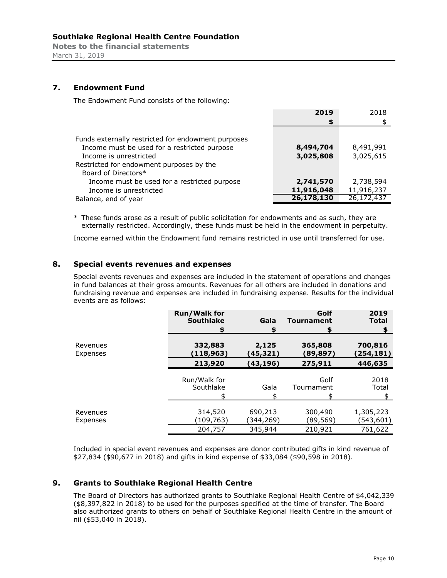# **7. Endowment Fund**

The Endowment Fund consists of the following:

|                                                    | 2019       | 2018       |
|----------------------------------------------------|------------|------------|
|                                                    | \$         |            |
|                                                    |            |            |
| Funds externally restricted for endowment purposes |            |            |
| Income must be used for a restricted purpose       | 8,494,704  | 8,491,991  |
| Income is unrestricted                             | 3,025,808  | 3,025,615  |
| Restricted for endowment purposes by the           |            |            |
| Board of Directors*                                |            |            |
| Income must be used for a restricted purpose       | 2,741,570  | 2,738,594  |
| Income is unrestricted                             | 11,916,048 | 11,916,237 |
| Balance, end of year                               | 26,178,130 | 26,172,437 |

\* These funds arose as a result of public solicitation for endowments and as such, they are externally restricted. Accordingly, these funds must be held in the endowment in perpetuity.

Income earned within the Endowment fund remains restricted in use until transferred for use.

# **8. Special events revenues and expenses**

Special events revenues and expenses are included in the statement of operations and changes in fund balances at their gross amounts. Revenues for all others are included in donations and fundraising revenue and expenses are included in fundraising expense. Results for the individual events are as follows:

|                      | <b>Run/Walk for</b><br><b>Southlake</b><br>S | Gala                          | Golf<br><b>Tournament</b>      | 2019<br><b>Total</b>             |
|----------------------|----------------------------------------------|-------------------------------|--------------------------------|----------------------------------|
| Revenues<br>Expenses | 332,883<br>(118,963)<br>213,920              | 2,125<br>(45,321)<br>(43,196) | 365,808<br>(89,897)<br>275,911 | 700,816<br>(254, 181)<br>446,635 |
|                      |                                              |                               |                                |                                  |
|                      | Run/Walk for<br>Southlake                    | Gala                          | Golf<br>Tournament             | 2018<br>Total                    |
|                      |                                              |                               |                                |                                  |
| Revenues<br>Expenses | 314,520<br>(109,763)                         | 690,213<br>(344,269)          | 300,490<br>(89,569)            | 1,305,223<br>(543,601)           |
|                      | 204,757                                      | 345,944                       | 210,921                        | 761,622                          |

Included in special event revenues and expenses are donor contributed gifts in kind revenue of \$27,834 (\$90,677 in 2018) and gifts in kind expense of \$33,084 (\$90,598 in 2018).

# **9. Grants to Southlake Regional Health Centre**

The Board of Directors has authorized grants to Southlake Regional Health Centre of \$4,042,339 (\$8,397,822 in 2018) to be used for the purposes specified at the time of transfer. The Board also authorized grants to others on behalf of Southlake Regional Health Centre in the amount of nil (\$53,040 in 2018).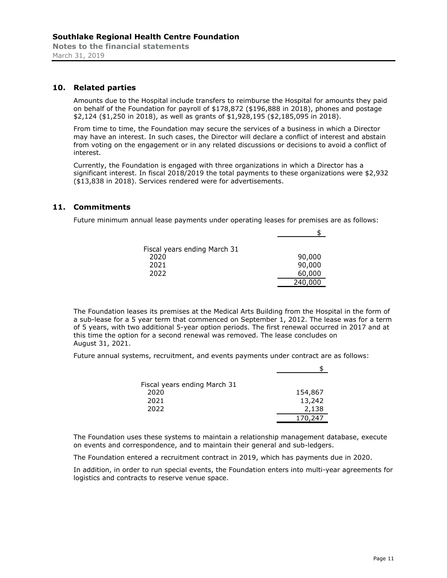#### **10. Related parties**

Amounts due to the Hospital include transfers to reimburse the Hospital for amounts they paid on behalf of the Foundation for payroll of \$178,872 (\$196,888 in 2018), phones and postage \$2,124 (\$1,250 in 2018), as well as grants of \$1,928,195 (\$2,185,095 in 2018).

From time to time, the Foundation may secure the services of a business in which a Director may have an interest. In such cases, the Director will declare a conflict of interest and abstain from voting on the engagement or in any related discussions or decisions to avoid a conflict of interest.

Currently, the Foundation is engaged with three organizations in which a Director has a significant interest. In fiscal 2018/2019 the total payments to these organizations were \$2,932 (\$13,838 in 2018). Services rendered were for advertisements.

# **11. Commitments**

Future minimum annual lease payments under operating leases for premises are as follows:

| Fiscal years ending March 31 |         |
|------------------------------|---------|
| 2020                         | 90,000  |
| 2021                         | 90,000  |
| 2022                         | 60,000  |
|                              | 240.000 |

\$

The Foundation leases its premises at the Medical Arts Building from the Hospital in the form of a sub-lease for a 5 year term that commenced on September 1, 2012. The lease was for a term of 5 years, with two additional 5-year option periods. The first renewal occurred in 2017 and at this time the option for a second renewal was removed. The lease concludes on August 31, 2021.

Future annual systems, recruitment, and events payments under contract are as follows:

| Fiscal years ending March 31 |         |
|------------------------------|---------|
| 2020                         | 154,867 |
| 2021                         | 13,242  |
| 2022                         | 2,138   |
|                              | 170,247 |

The Foundation uses these systems to maintain a relationship management database, execute on events and correspondence, and to maintain their general and sub-ledgers.

The Foundation entered a recruitment contract in 2019, which has payments due in 2020.

In addition, in order to run special events, the Foundation enters into multi-year agreements for logistics and contracts to reserve venue space.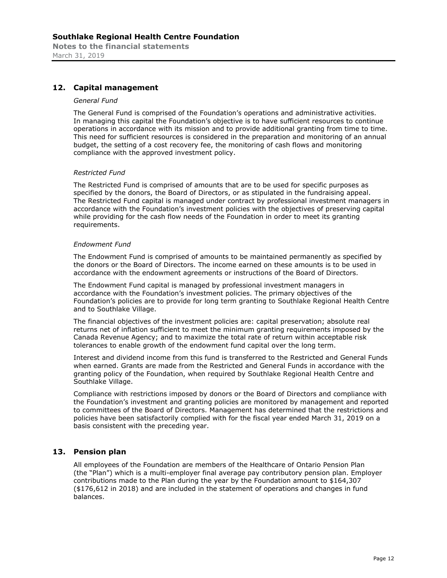# **12. Capital management**

#### *General Fund*

The General Fund is comprised of the Foundation's operations and administrative activities. In managing this capital the Foundation's objective is to have sufficient resources to continue operations in accordance with its mission and to provide additional granting from time to time. This need for sufficient resources is considered in the preparation and monitoring of an annual budget, the setting of a cost recovery fee, the monitoring of cash flows and monitoring compliance with the approved investment policy.

#### *Restricted Fund*

The Restricted Fund is comprised of amounts that are to be used for specific purposes as specified by the donors, the Board of Directors, or as stipulated in the fundraising appeal. The Restricted Fund capital is managed under contract by professional investment managers in accordance with the Foundation's investment policies with the objectives of preserving capital while providing for the cash flow needs of the Foundation in order to meet its granting requirements.

#### *Endowment Fund*

The Endowment Fund is comprised of amounts to be maintained permanently as specified by the donors or the Board of Directors. The income earned on these amounts is to be used in accordance with the endowment agreements or instructions of the Board of Directors.

The Endowment Fund capital is managed by professional investment managers in accordance with the Foundation's investment policies. The primary objectives of the Foundation's policies are to provide for long term granting to Southlake Regional Health Centre and to Southlake Village.

The financial objectives of the investment policies are: capital preservation; absolute real returns net of inflation sufficient to meet the minimum granting requirements imposed by the Canada Revenue Agency; and to maximize the total rate of return within acceptable risk tolerances to enable growth of the endowment fund capital over the long term.

Interest and dividend income from this fund is transferred to the Restricted and General Funds when earned. Grants are made from the Restricted and General Funds in accordance with the granting policy of the Foundation, when required by Southlake Regional Health Centre and Southlake Village.

Compliance with restrictions imposed by donors or the Board of Directors and compliance with the Foundation's investment and granting policies are monitored by management and reported to committees of the Board of Directors. Management has determined that the restrictions and policies have been satisfactorily complied with for the fiscal year ended March 31, 2019 on a basis consistent with the preceding year.

#### **13. Pension plan**

All employees of the Foundation are members of the Healthcare of Ontario Pension Plan (the "Plan") which is a multi-employer final average pay contributory pension plan. Employer contributions made to the Plan during the year by the Foundation amount to \$164,307 (\$176,612 in 2018) and are included in the statement of operations and changes in fund balances.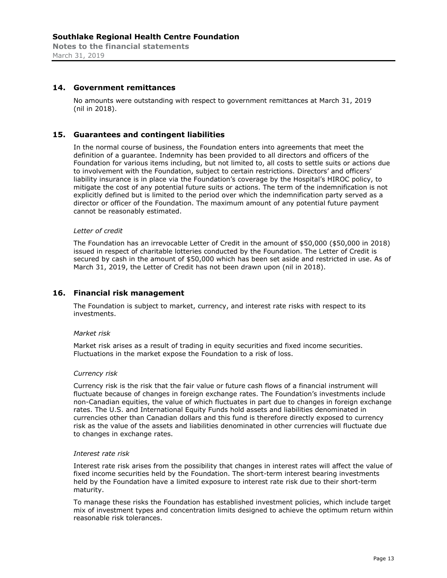#### **14. Government remittances**

No amounts were outstanding with respect to government remittances at March 31, 2019 (nil in 2018).

# **15. Guarantees and contingent liabilities**

In the normal course of business, the Foundation enters into agreements that meet the definition of a guarantee. Indemnity has been provided to all directors and officers of the Foundation for various items including, but not limited to, all costs to settle suits or actions due to involvement with the Foundation, subject to certain restrictions. Directors' and officers' liability insurance is in place via the Foundation's coverage by the Hospital's HIROC policy, to mitigate the cost of any potential future suits or actions. The term of the indemnification is not explicitly defined but is limited to the period over which the indemnification party served as a director or officer of the Foundation. The maximum amount of any potential future payment cannot be reasonably estimated.

#### *Letter of credit*

The Foundation has an irrevocable Letter of Credit in the amount of \$50,000 (\$50,000 in 2018) issued in respect of charitable lotteries conducted by the Foundation. The Letter of Credit is secured by cash in the amount of \$50,000 which has been set aside and restricted in use. As of March 31, 2019, the Letter of Credit has not been drawn upon (nil in 2018).

#### **16. Financial risk management**

The Foundation is subject to market, currency, and interest rate risks with respect to its investments.

#### *Market risk*

Market risk arises as a result of trading in equity securities and fixed income securities. Fluctuations in the market expose the Foundation to a risk of loss.

#### *Currency risk*

Currency risk is the risk that the fair value or future cash flows of a financial instrument will fluctuate because of changes in foreign exchange rates. The Foundation's investments include non-Canadian equities, the value of which fluctuates in part due to changes in foreign exchange rates. The U.S. and International Equity Funds hold assets and liabilities denominated in currencies other than Canadian dollars and this fund is therefore directly exposed to currency risk as the value of the assets and liabilities denominated in other currencies will fluctuate due to changes in exchange rates.

#### *Interest rate risk*

Interest rate risk arises from the possibility that changes in interest rates will affect the value of fixed income securities held by the Foundation. The short-term interest bearing investments held by the Foundation have a limited exposure to interest rate risk due to their short-term maturity.

To manage these risks the Foundation has established investment policies, which include target mix of investment types and concentration limits designed to achieve the optimum return within reasonable risk tolerances.